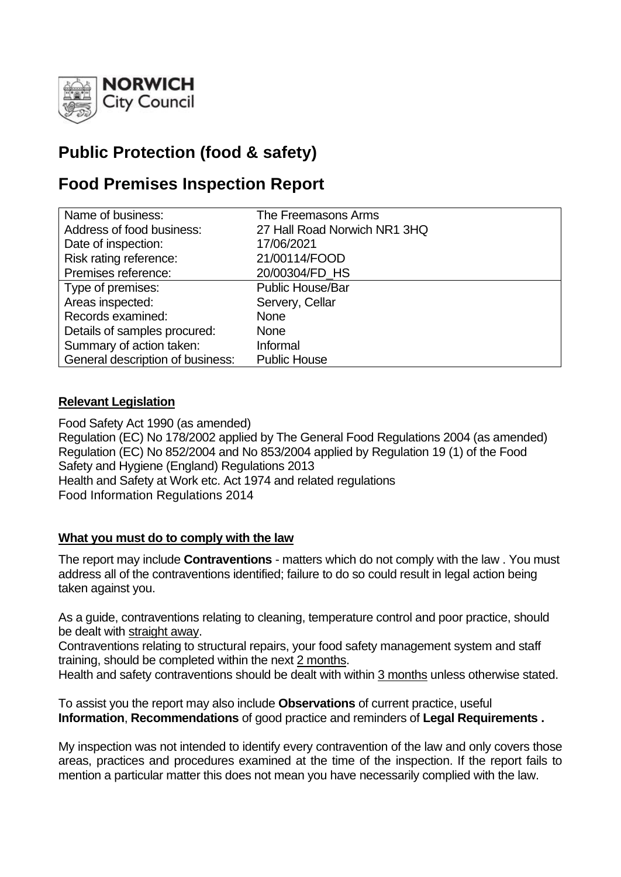

# **Public Protection (food & safety)**

# **Food Premises Inspection Report**

| Name of business:                | The Freemasons Arms          |
|----------------------------------|------------------------------|
| Address of food business:        | 27 Hall Road Norwich NR1 3HQ |
| Date of inspection:              | 17/06/2021                   |
| Risk rating reference:           | 21/00114/FOOD                |
| Premises reference:              | 20/00304/FD HS               |
| Type of premises:                | <b>Public House/Bar</b>      |
| Areas inspected:                 | Servery, Cellar              |
| Records examined:                | <b>None</b>                  |
| Details of samples procured:     | <b>None</b>                  |
| Summary of action taken:         | Informal                     |
| General description of business: | <b>Public House</b>          |

## **Relevant Legislation**

Food Safety Act 1990 (as amended) Regulation (EC) No 178/2002 applied by The General Food Regulations 2004 (as amended) Regulation (EC) No 852/2004 and No 853/2004 applied by Regulation 19 (1) of the Food Safety and Hygiene (England) Regulations 2013 Health and Safety at Work etc. Act 1974 and related regulations Food Information Regulations 2014

#### **What you must do to comply with the law**

The report may include **Contraventions** - matters which do not comply with the law . You must address all of the contraventions identified; failure to do so could result in legal action being taken against you.

As a guide, contraventions relating to cleaning, temperature control and poor practice, should be dealt with straight away.

Contraventions relating to structural repairs, your food safety management system and staff training, should be completed within the next 2 months.

Health and safety contraventions should be dealt with within 3 months unless otherwise stated.

To assist you the report may also include **Observations** of current practice, useful **Information**, **Recommendations** of good practice and reminders of **Legal Requirements .**

My inspection was not intended to identify every contravention of the law and only covers those areas, practices and procedures examined at the time of the inspection. If the report fails to mention a particular matter this does not mean you have necessarily complied with the law.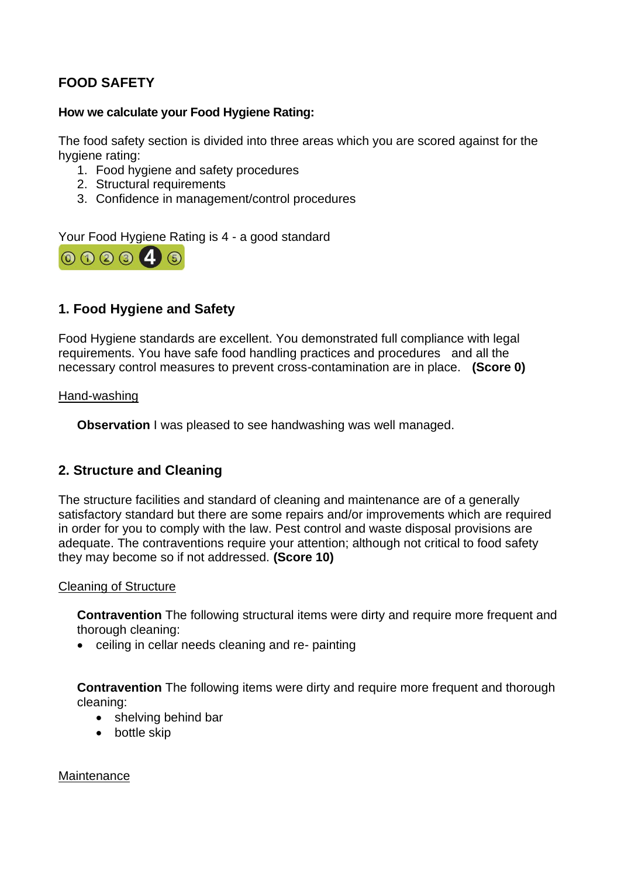# **FOOD SAFETY**

### **How we calculate your Food Hygiene Rating:**

The food safety section is divided into three areas which you are scored against for the hygiene rating:

- 1. Food hygiene and safety procedures
- 2. Structural requirements
- 3. Confidence in management/control procedures

Your Food Hygiene Rating is 4 - a good standard



# **1. Food Hygiene and Safety**

Food Hygiene standards are excellent. You demonstrated full compliance with legal requirements. You have safe food handling practices and procedures and all the necessary control measures to prevent cross-contamination are in place. **(Score 0)**

#### Hand-washing

**Observation I** was pleased to see handwashing was well managed.

## **2. Structure and Cleaning**

The structure facilities and standard of cleaning and maintenance are of a generally satisfactory standard but there are some repairs and/or improvements which are required in order for you to comply with the law. Pest control and waste disposal provisions are adequate. The contraventions require your attention; although not critical to food safety they may become so if not addressed. **(Score 10)**

#### Cleaning of Structure

**Contravention** The following structural items were dirty and require more frequent and thorough cleaning:

• ceiling in cellar needs cleaning and re- painting

**Contravention** The following items were dirty and require more frequent and thorough cleaning:

- shelving behind bar
- bottle skip

**Maintenance**